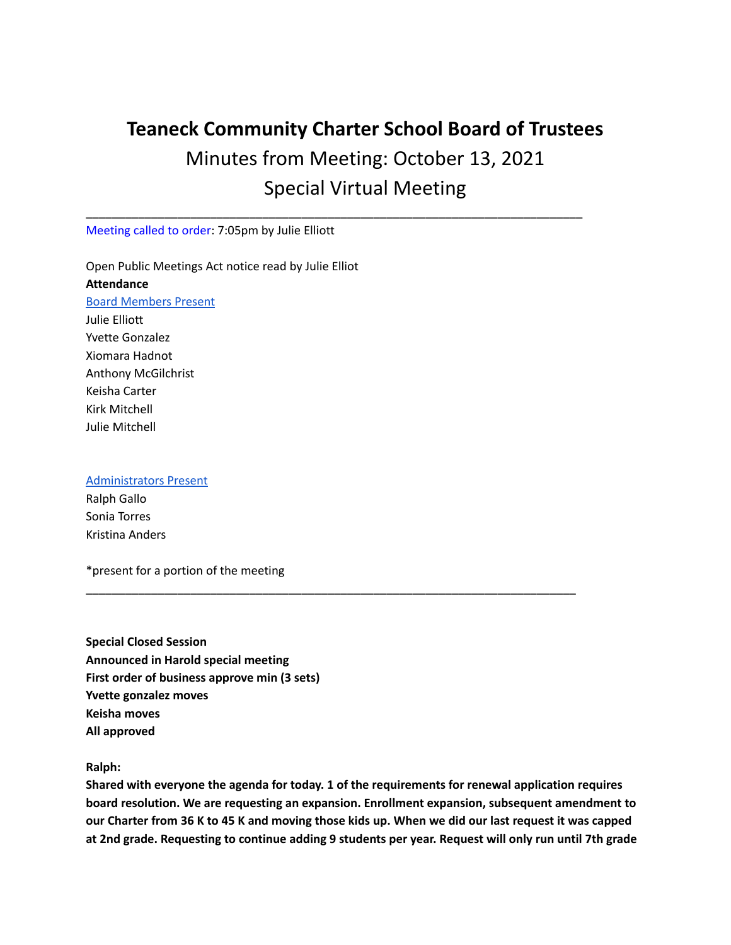## **Teaneck Community Charter School Board of Trustees** Minutes from Meeting: October 13, 2021 Special Virtual Meeting

\_\_\_\_\_\_\_\_\_\_\_\_\_\_\_\_\_\_\_\_\_\_\_\_\_\_\_\_\_\_\_\_\_\_\_\_\_\_\_\_\_\_\_\_\_\_\_\_\_\_\_\_\_\_\_\_\_\_\_\_\_\_\_\_\_\_\_\_\_\_\_\_\_\_\_\_

Meeting called to order: 7:05pm by Julie Elliott

Open Public Meetings Act notice read by Julie Elliot **Attendance** Board Members Present Julie Elliott Yvette Gonzalez Xiomara Hadnot Anthony McGilchrist Keisha Carter Kirk Mitchell Julie Mitchell

## Administrators Present

Ralph Gallo Sonia Torres Kristina Anders

\*present for a portion of the meeting

**Special Closed Session Announced in Harold special meeting First order of business approve min (3 sets) Yvette gonzalez moves Keisha moves All approved**

## **Ralph:**

**Shared with everyone the agenda for today. 1 of the requirements for renewal application requires board resolution. We are requesting an expansion. Enrollment expansion, subsequent amendment to** our Charter from 36 K to 45 K and moving those kids up. When we did our last request it was capped at 2nd grade. Requesting to continue adding 9 students per year. Request will only run until 7th grade

\_\_\_\_\_\_\_\_\_\_\_\_\_\_\_\_\_\_\_\_\_\_\_\_\_\_\_\_\_\_\_\_\_\_\_\_\_\_\_\_\_\_\_\_\_\_\_\_\_\_\_\_\_\_\_\_\_\_\_\_\_\_\_\_\_\_\_\_\_\_\_\_\_\_\_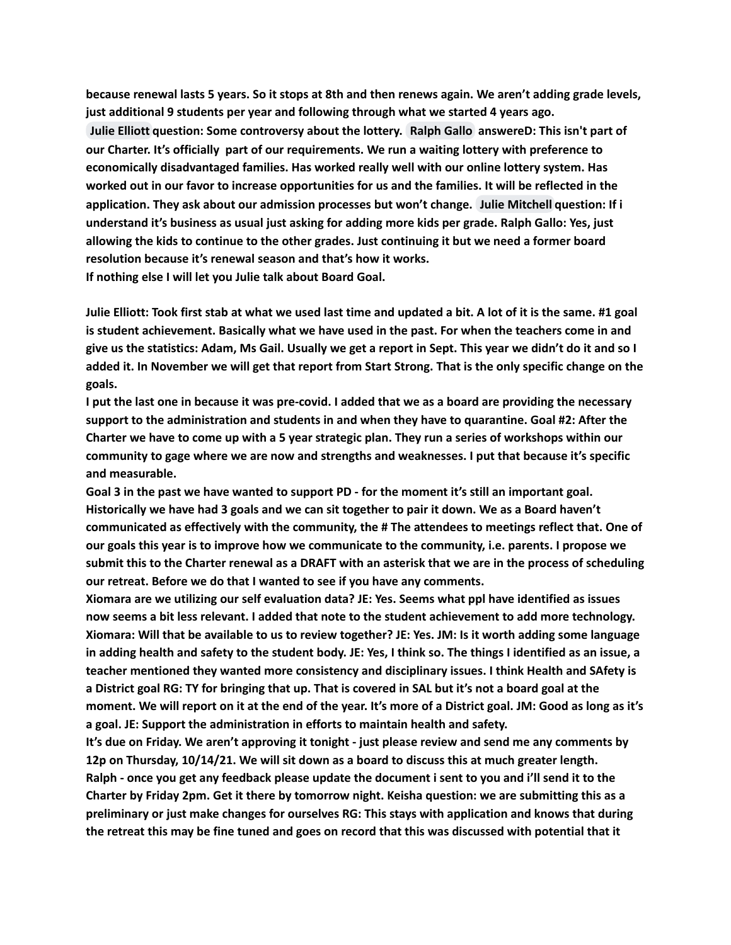because renewal lasts 5 years. So it stops at 8th and then renews again. We aren't adding grade levels, **just additional 9 students per year and following through what we started 4 years ago. Julie [Elliott](mailto:jelliott@tccsnj.org) question: Some controversy about the lottery. [Ralph](mailto:rgallo@tccsnj.org) Gallo answereD: This isn't part of our Charter. It's officially part of our requirements. We run a waiting lottery with preference to economically disadvantaged families. Has worked really well with our online lottery system. Has** worked out in our favor to increase opportunities for us and the families. It will be reflected in the **application. They ask about our admission processes but won't change. Julie [Mitchell](mailto:jmitchell@tccsnj.org) question: If i understand it's business as usual just asking for adding more kids per grade. Ralph Gallo: Yes, just allowing the kids to continue to the other grades. Just continuing it but we need a former board resolution because it's renewal season and that's how it works. If nothing else I will let you Julie talk about Board Goal.**

Julie Elliott: Took first stab at what we used last time and updated a bit. A lot of it is the same. #1 goal **is student achievement. Basically what we have used in the past. For when the teachers come in and** give us the statistics: Adam, Ms Gail. Usually we get a report in Sept. This year we didn't do it and so I added it. In November we will get that report from Start Strong. That is the only specific change on the **goals.**

I put the last one in because it was pre-covid. I added that we as a board are providing the necessary **support to the administration and students in and when they have to quarantine. Goal #2: After the** Charter we have to come up with a 5 year strategic plan. They run a series of workshops within our **community to gage where we are now and strengths and weaknesses. I put that because it's specific and measurable.**

Goal 3 in the past we have wanted to support PD - for the moment it's still an important goal. Historically we have had 3 goals and we can sit together to pair it down. We as a Board haven't **communicated as effectively with the community, the # The attendees to meetings reflect that. One of our goals this year is to improve how we communicate to the community, i.e. parents. I propose we** submit this to the Charter renewal as a DRAFT with an asterisk that we are in the process of scheduling **our retreat. Before we do that I wanted to see if you have any comments.**

**Xiomara are we utilizing our self evaluation data? JE: Yes. Seems what ppl have identified as issues** now seems a bit less relevant. I added that note to the student achievement to add more technology. Xiomara: Will that be available to us to review together? JE: Yes. JM: Is it worth adding some language in adding health and safety to the student body. JE: Yes, I think so. The things I identified as an issue, a **teacher mentioned they wanted more consistency and disciplinary issues. I think Health and SAfety is** a District goal RG: TY for bringing that up. That is covered in SAL but it's not a board goal at the moment. We will report on it at the end of the year. It's more of a District goal. JM: Good as long as it's **a goal. JE: Support the administration in efforts to maintain health and safety.**

It's due on Friday. We aren't approving it tonight - just please review and send me any comments by **12p on Thursday, 10/14/21. We will sit down as a board to discuss this at much greater length.** Ralph - once you get any feedback please update the document i sent to you and i'll send it to the Charter by Friday 2pm. Get it there by tomorrow night. Keisha question: we are submitting this as a **preliminary or just make changes for ourselves RG: This stays with application and knows that during** the retreat this may be fine tuned and goes on record that this was discussed with potential that it